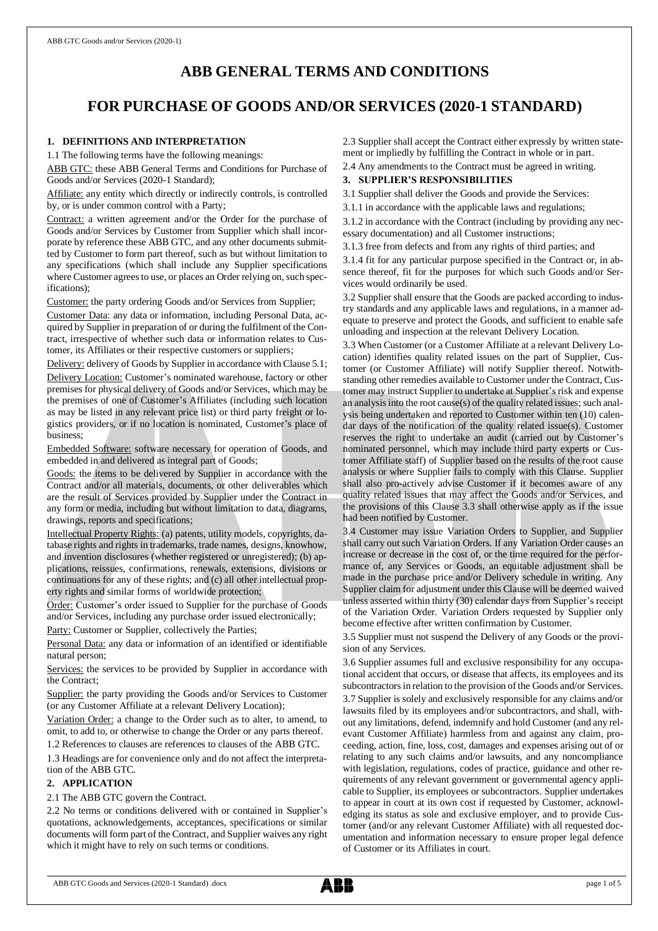# **ABB GENERAL TERMS AND CONDITIONS**

# **FOR PURCHASE OF GOODS AND/OR SERVICES (2020-1 STANDARD)**

# **1. DEFINITIONS AND INTERPRETATION**

1.1 The following terms have the following meanings:

ABB GTC: these ABB General Terms and Conditions for Purchase of Goods and/or Services (2020-1 Standard);

Affiliate: any entity which directly or indirectly controls, is controlled by, or is under common control with a Party;

Contract: a written agreement and/or the Order for the purchase of Goods and/or Services by Customer from Supplier which shall incorporate by reference these ABB GTC, and any other documents submitted by Customer to form part thereof, such as but without limitation to any specifications (which shall include any Supplier specifications where Customer agrees to use, or places an Order relying on, such specifications);

Customer: the party ordering Goods and/or Services from Supplier;

Customer Data: any data or information, including Personal Data, acquired by Supplier in preparation of or during the fulfilment of the Contract, irrespective of whether such data or information relates to Customer, its Affiliates or their respective customers or suppliers;

Delivery: delivery of Goods by Supplier in accordance with Clause 5.1; Delivery Location: Customer's nominated warehouse, factory or other premises for physical delivery of Goods and/or Services, which may be the premises of one of Customer's Affiliates (including such location as may be listed in any relevant price list) or third party freight or logistics providers, or if no location is nominated, Customer's place of business;

Embedded Software: software necessary for operation of Goods, and embedded in and delivered as integral part of Goods;

Goods: the items to be delivered by Supplier in accordance with the Contract and/or all materials, documents, or other deliverables which are the result of Services provided by Supplier under the Contract in any form or media, including but without limitation to data, diagrams, drawings, reports and specifications;

Intellectual Property Rights: (a) patents, utility models, copyrights, database rights and rights in trademarks, trade names, designs, knowhow, and invention disclosures (whether registered or unregistered); (b) applications, reissues, confirmations, renewals, extensions, divisions or continuations for any of these rights; and (c) all other intellectual property rights and similar forms of worldwide protection;

Order: Customer's order issued to Supplier for the purchase of Goods and/or Services, including any purchase order issued electronically;

Party: Customer or Supplier, collectively the Parties;

Personal Data: any data or information of an identified or identifiable natural person;

Services: the services to be provided by Supplier in accordance with the Contract;

Supplier: the party providing the Goods and/or Services to Customer (or any Customer Affiliate at a relevant Delivery Location);

Variation Order: a change to the Order such as to alter, to amend, to omit, to add to, or otherwise to change the Order or any parts thereof.

1.2 References to clauses are references to clauses of the ABB GTC.

1.3 Headings are for convenience only and do not affect the interpretation of the ABB GTC.

# **2. APPLICATION**

# 2.1 The ABB GTC govern the Contract.

2.2 No terms or conditions delivered with or contained in Supplier's quotations, acknowledgements, acceptances, specifications or similar documents will form part of the Contract, and Supplier waives any right which it might have to rely on such terms or conditions.

2.3 Supplier shall accept the Contract either expressly by written statement or impliedly by fulfilling the Contract in whole or in part.

2.4 Any amendments to the Contract must be agreed in writing.

# **3. SUPPLIER'S RESPONSIBILITIES**

3.1 Supplier shall deliver the Goods and provide the Services:

3.1.1 in accordance with the applicable laws and regulations;

3.1.2 in accordance with the Contract (including by providing any necessary documentation) and all Customer instructions;

3.1.3 free from defects and from any rights of third parties; and

3.1.4 fit for any particular purpose specified in the Contract or, in absence thereof, fit for the purposes for which such Goods and/or Services would ordinarily be used.

3.2 Supplier shall ensure that the Goods are packed according to industry standards and any applicable laws and regulations, in a manner adequate to preserve and protect the Goods, and sufficient to enable safe unloading and inspection at the relevant Delivery Location.

3.3 When Customer (or a Customer Affiliate at a relevant Delivery Location) identifies quality related issues on the part of Supplier, Customer (or Customer Affiliate) will notify Supplier thereof. Notwithstanding other remedies available to Customer under the Contract, Customer may instruct Supplier to undertake at Supplier's risk and expense an analysis into the root cause(s) of the quality related issues; such analysis being undertaken and reported to Customer within ten (10) calendar days of the notification of the quality related issue(s). Customer reserves the right to undertake an audit (carried out by Customer's nominated personnel, which may include third party experts or Customer Affiliate staff) of Supplier based on the results of the root cause analysis or where Supplier fails to comply with this Clause. Supplier shall also pro-actively advise Customer if it becomes aware of any quality related issues that may affect the Goods and/or Services, and the provisions of this Clause 3.3 shall otherwise apply as if the issue had been notified by Customer.

3.4 Customer may issue Variation Orders to Supplier, and Supplier shall carry out such Variation Orders. If any Variation Order causes an increase or decrease in the cost of, or the time required for the performance of, any Services or Goods, an equitable adjustment shall be made in the purchase price and/or Delivery schedule in writing. Any Supplier claim for adjustment under this Clause will be deemed waived unless asserted within thirty (30) calendar days from Supplier's receipt of the Variation Order. Variation Orders requested by Supplier only become effective after written confirmation by Customer.

3.5 Supplier must not suspend the Delivery of any Goods or the provision of any Services.

3.6 Supplier assumes full and exclusive responsibility for any occupational accident that occurs, or disease that affects, its employees and its subcontractors in relation to the provision of the Goods and/or Services. 3.7 Supplier is solely and exclusively responsible for any claims and/or lawsuits filed by its employees and/or subcontractors, and shall, without any limitations, defend, indemnify and hold Customer (and any relevant Customer Affiliate) harmless from and against any claim, proceeding, action, fine, loss, cost, damages and expenses arising out of or relating to any such claims and/or lawsuits, and any noncompliance with legislation, regulations, codes of practice, guidance and other requirements of any relevant government or governmental agency applicable to Supplier, its employees or subcontractors. Supplier undertakes to appear in court at its own cost if requested by Customer, acknowledging its status as sole and exclusive employer, and to provide Customer (and/or any relevant Customer Affiliate) with all requested documentation and information necessary to ensure proper legal defence of Customer or its Affiliates in court.

ABB GTC Goods and Services (2020-1 Standard) .docx page 1 of 5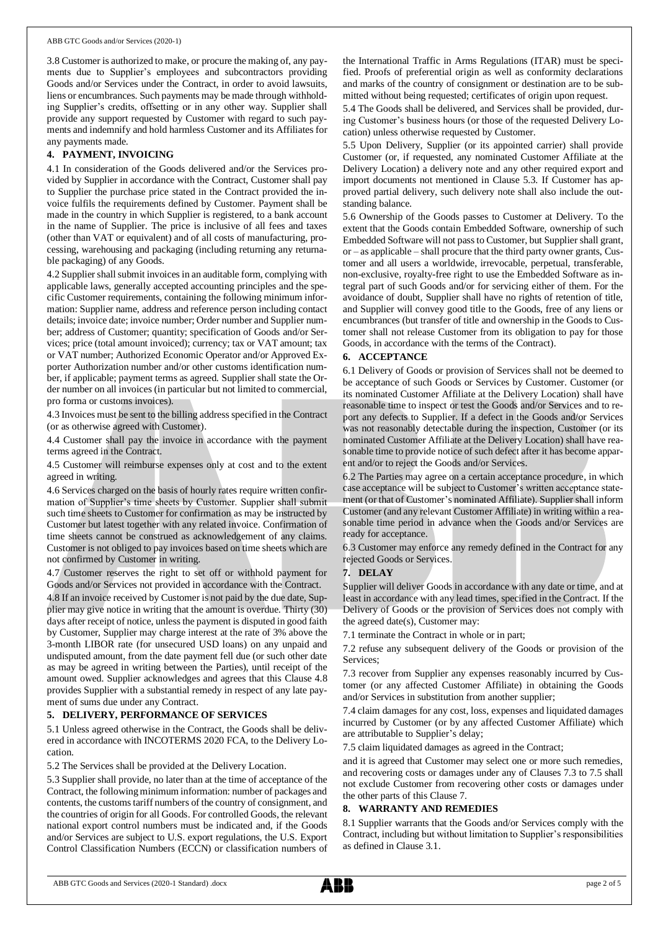3.8 Customer is authorized to make, or procure the making of, any payments due to Supplier's employees and subcontractors providing Goods and/or Services under the Contract, in order to avoid lawsuits, liens or encumbrances. Such payments may be made through withholding Supplier's credits, offsetting or in any other way. Supplier shall provide any support requested by Customer with regard to such payments and indemnify and hold harmless Customer and its Affiliates for any payments made.

# **4. PAYMENT, INVOICING**

4.1 In consideration of the Goods delivered and/or the Services provided by Supplier in accordance with the Contract, Customer shall pay to Supplier the purchase price stated in the Contract provided the invoice fulfils the requirements defined by Customer. Payment shall be made in the country in which Supplier is registered, to a bank account in the name of Supplier. The price is inclusive of all fees and taxes (other than VAT or equivalent) and of all costs of manufacturing, processing, warehousing and packaging (including returning any returnable packaging) of any Goods.

4.2 Supplier shall submit invoices in an auditable form, complying with applicable laws, generally accepted accounting principles and the specific Customer requirements, containing the following minimum information: Supplier name, address and reference person including contact details; invoice date; invoice number; Order number and Supplier number; address of Customer; quantity; specification of Goods and/or Services; price (total amount invoiced); currency; tax or VAT amount; tax or VAT number; Authorized Economic Operator and/or Approved Exporter Authorization number and/or other customs identification number, if applicable; payment terms as agreed. Supplier shall state the Order number on all invoices (in particular but not limited to commercial, pro forma or customs invoices).

4.3 Invoices must be sent to the billing address specified in the Contract (or as otherwise agreed with Customer).

4.4 Customer shall pay the invoice in accordance with the payment terms agreed in the Contract.

4.5 Customer will reimburse expenses only at cost and to the extent agreed in writing.

4.6 Services charged on the basis of hourly rates require written confirmation of Supplier's time sheets by Customer. Supplier shall submit such time sheets to Customer for confirmation as may be instructed by Customer but latest together with any related invoice. Confirmation of time sheets cannot be construed as acknowledgement of any claims. Customer is not obliged to pay invoices based on time sheets which are not confirmed by Customer in writing.

4.7 Customer reserves the right to set off or withhold payment for Goods and/or Services not provided in accordance with the Contract.

4.8 If an invoice received by Customer is not paid by the due date, Supplier may give notice in writing that the amount is overdue. Thirty (30) days after receipt of notice, unless the payment is disputed in good faith by Customer, Supplier may charge interest at the rate of 3% above the 3-month LIBOR rate (for unsecured USD loans) on any unpaid and undisputed amount, from the date payment fell due (or such other date as may be agreed in writing between the Parties), until receipt of the amount owed. Supplier acknowledges and agrees that this Clause 4.8 provides Supplier with a substantial remedy in respect of any late payment of sums due under any Contract.

# **5. DELIVERY, PERFORMANCE OF SERVICES**

5.1 Unless agreed otherwise in the Contract, the Goods shall be delivered in accordance with INCOTERMS 2020 FCA, to the Delivery Location.

5.2 The Services shall be provided at the Delivery Location.

5.3 Supplier shall provide, no later than at the time of acceptance of the Contract, the following minimum information: number of packages and contents, the customs tariff numbers of the country of consignment, and the countries of origin for all Goods. For controlled Goods, the relevant national export control numbers must be indicated and, if the Goods and/or Services are subject to U.S. export regulations, the U.S. Export Control Classification Numbers (ECCN) or classification numbers of the International Traffic in Arms Regulations (ITAR) must be specified. Proofs of preferential origin as well as conformity declarations and marks of the country of consignment or destination are to be submitted without being requested; certificates of origin upon request.

5.4 The Goods shall be delivered, and Services shall be provided, during Customer's business hours (or those of the requested Delivery Location) unless otherwise requested by Customer.

5.5 Upon Delivery, Supplier (or its appointed carrier) shall provide Customer (or, if requested, any nominated Customer Affiliate at the Delivery Location) a delivery note and any other required export and import documents not mentioned in Clause 5.3. If Customer has approved partial delivery, such delivery note shall also include the outstanding balance.

5.6 Ownership of the Goods passes to Customer at Delivery. To the extent that the Goods contain Embedded Software, ownership of such Embedded Software will not passto Customer, but Supplier shall grant, or – as applicable – shall procure that the third party owner grants, Customer and all users a worldwide, irrevocable, perpetual, transferable, non-exclusive, royalty-free right to use the Embedded Software as integral part of such Goods and/or for servicing either of them. For the avoidance of doubt, Supplier shall have no rights of retention of title, and Supplier will convey good title to the Goods, free of any liens or encumbrances (but transfer of title and ownership in the Goods to Customer shall not release Customer from its obligation to pay for those Goods, in accordance with the terms of the Contract).

# **6. ACCEPTANCE**

6.1 Delivery of Goods or provision of Services shall not be deemed to be acceptance of such Goods or Services by Customer. Customer (or its nominated Customer Affiliate at the Delivery Location) shall have reasonable time to inspect or test the Goods and/or Services and to report any defects to Supplier. If a defect in the Goods and/or Services was not reasonably detectable during the inspection, Customer (or its nominated Customer Affiliate at the Delivery Location) shall have reasonable time to provide notice of such defect after it has become apparent and/or to reject the Goods and/or Services.

6.2 The Parties may agree on a certain acceptance procedure, in which case acceptance will be subject to Customer's written acceptance statement (or that of Customer's nominated Affiliate). Supplier shall inform Customer (and any relevant Customer Affiliate) in writing within a reasonable time period in advance when the Goods and/or Services are ready for acceptance.

6.3 Customer may enforce any remedy defined in the Contract for any rejected Goods or Services.

# **7. DELAY**

Supplier will deliver Goods in accordance with any date or time, and at least in accordance with any lead times, specified in the Contract. If the Delivery of Goods or the provision of Services does not comply with the agreed date(s), Customer may:

7.1 terminate the Contract in whole or in part;

7.2 refuse any subsequent delivery of the Goods or provision of the Services;

7.3 recover from Supplier any expenses reasonably incurred by Customer (or any affected Customer Affiliate) in obtaining the Goods and/or Services in substitution from another supplier;

7.4 claim damages for any cost, loss, expenses and liquidated damages incurred by Customer (or by any affected Customer Affiliate) which are attributable to Supplier's delay;

7.5 claim liquidated damages as agreed in the Contract;

and it is agreed that Customer may select one or more such remedies, and recovering costs or damages under any of Clauses 7.3 to 7.5 shall not exclude Customer from recovering other costs or damages under the other parts of this Clause 7.

# **8. WARRANTY AND REMEDIES**

8.1 Supplier warrants that the Goods and/or Services comply with the Contract, including but without limitation to Supplier's responsibilities as defined in Clause 3.1.

ABB GTC Goods and Services (2020-1 Standard) .docx page 2 of 5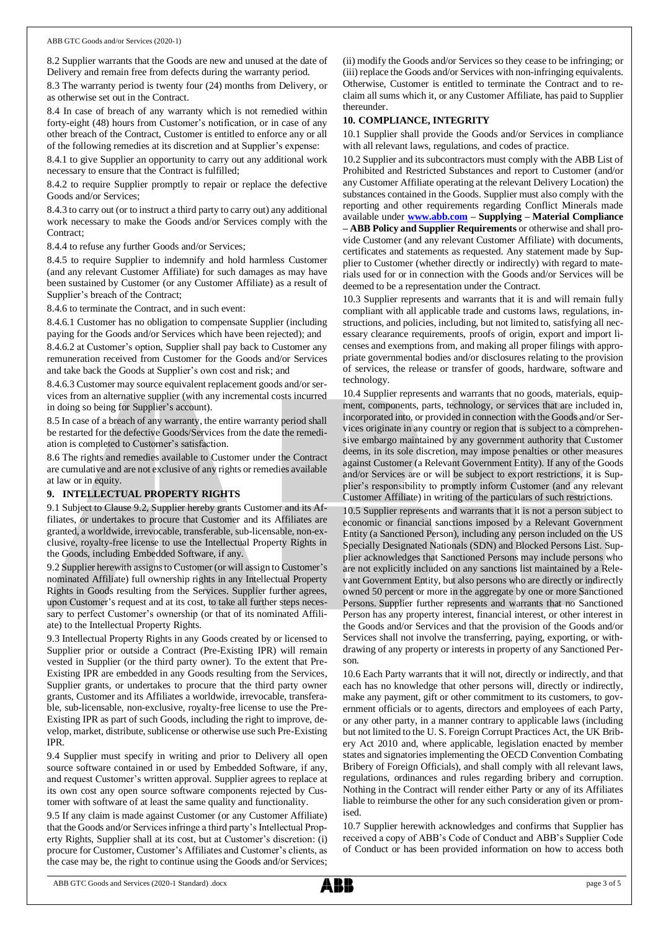8.2 Supplier warrants that the Goods are new and unused at the date of Delivery and remain free from defects during the warranty period.

8.3 The warranty period is twenty four (24) months from Delivery, or as otherwise set out in the Contract.

8.4 In case of breach of any warranty which is not remedied within forty-eight (48) hours from Customer's notification, or in case of any other breach of the Contract, Customer is entitled to enforce any or all of the following remedies at its discretion and at Supplier's expense:

8.4.1 to give Supplier an opportunity to carry out any additional work necessary to ensure that the Contract is fulfilled;

8.4.2 to require Supplier promptly to repair or replace the defective Goods and/or Services;

8.4.3 to carry out (or to instruct a third party to carry out) any additional work necessary to make the Goods and/or Services comply with the Contract;

8.4.4 to refuse any further Goods and/or Services;

8.4.5 to require Supplier to indemnify and hold harmless Customer (and any relevant Customer Affiliate) for such damages as may have been sustained by Customer (or any Customer Affiliate) as a result of Supplier's breach of the Contract;

8.4.6 to terminate the Contract, and in such event:

8.4.6.1 Customer has no obligation to compensate Supplier (including paying for the Goods and/or Services which have been rejected); and

8.4.6.2 at Customer's option, Supplier shall pay back to Customer any remuneration received from Customer for the Goods and/or Services and take back the Goods at Supplier's own cost and risk; and

8.4.6.3 Customer may source equivalent replacement goods and/or services from an alternative supplier (with any incremental costs incurred in doing so being for Supplier's account).

8.5 In case of a breach of any warranty, the entire warranty period shall be restarted for the defective Goods/Services from the date the remediation is completed to Customer's satisfaction.

8.6 The rights and remedies available to Customer under the Contract are cumulative and are not exclusive of any rights or remedies available at law or in equity.

# **9. INTELLECTUAL PROPERTY RIGHTS**

9.1 Subject to Clause 9.2, Supplier hereby grants Customer and its Affiliates, or undertakes to procure that Customer and its Affiliates are granted, a worldwide, irrevocable, transferable, sub-licensable, non-exclusive, royalty-free license to use the Intellectual Property Rights in the Goods, including Embedded Software, if any.

9.2 Supplier herewith assigns to Customer (or will assign to Customer's nominated Affiliate) full ownership rights in any Intellectual Property Rights in Goods resulting from the Services. Supplier further agrees, upon Customer's request and at its cost, to take all further steps necessary to perfect Customer's ownership (or that of its nominated Affiliate) to the Intellectual Property Rights.

9.3 Intellectual Property Rights in any Goods created by or licensed to Supplier prior or outside a Contract (Pre-Existing IPR) will remain vested in Supplier (or the third party owner). To the extent that Pre-Existing IPR are embedded in any Goods resulting from the Services, Supplier grants, or undertakes to procure that the third party owner grants, Customer and its Affiliates a worldwide, irrevocable, transferable, sub-licensable, non-exclusive, royalty-free license to use the Pre-Existing IPR as part of such Goods, including the right to improve, develop, market, distribute, sublicense or otherwise use such Pre-Existing IPR.

9.4 Supplier must specify in writing and prior to Delivery all open source software contained in or used by Embedded Software, if any, and request Customer's written approval. Supplier agrees to replace at its own cost any open source software components rejected by Customer with software of at least the same quality and functionality.

9.5 If any claim is made against Customer (or any Customer Affiliate) that the Goods and/or Services infringe a third party's Intellectual Property Rights, Supplier shall at its cost, but at Customer's discretion: (i) procure for Customer, Customer's Affiliates and Customer's clients, as the case may be, the right to continue using the Goods and/or Services;

(ii) modify the Goods and/or Services so they cease to be infringing; or (iii) replace the Goods and/or Services with non-infringing equivalents. Otherwise, Customer is entitled to terminate the Contract and to reclaim all sums which it, or any Customer Affiliate, has paid to Supplier thereunder.

# **10. COMPLIANCE, INTEGRITY**

10.1 Supplier shall provide the Goods and/or Services in compliance with all relevant laws, regulations, and codes of practice.

10.2 Supplier and its subcontractors must comply with the ABB List of Prohibited and Restricted Substances and report to Customer (and/or any Customer Affiliate operating at the relevant Delivery Location) the substances contained in the Goods. Supplier must also comply with the reporting and other requirements regarding Conflict Minerals made available under **[www.abb.com](http://www.abb.com/) – Supplying – Material Compliance – ABB Policy and Supplier Requirements** or otherwise and shall provide Customer (and any relevant Customer Affiliate) with documents, certificates and statements as requested. Any statement made by Supplier to Customer (whether directly or indirectly) with regard to materials used for or in connection with the Goods and/or Services will be deemed to be a representation under the Contract.

10.3 Supplier represents and warrants that it is and will remain fully compliant with all applicable trade and customs laws, regulations, instructions, and policies, including, but not limited to, satisfying all necessary clearance requirements, proofs of origin, export and import licenses and exemptions from, and making all proper filings with appropriate governmental bodies and/or disclosures relating to the provision of services, the release or transfer of goods, hardware, software and technology.

10.4 Supplier represents and warrants that no goods, materials, equipment, components, parts, technology, or services that are included in, incorporated into, or provided in connection with the Goods and/or Services originate in any country or region that is subject to a comprehensive embargo maintained by any government authority that Customer deems, in its sole discretion, may impose penalties or other measures against Customer (a Relevant Government Entity). If any of the Goods and/or Services are or will be subject to export restrictions, it is Supplier's responsibility to promptly inform Customer (and any relevant Customer Affiliate) in writing of the particulars of such restrictions.

10.5 Supplier represents and warrants that it is not a person subject to economic or financial sanctions imposed by a Relevant Government Entity (a Sanctioned Person), including any person included on the US Specially Designated Nationals (SDN) and Blocked Persons List. Supplier acknowledges that Sanctioned Persons may include persons who are not explicitly included on any sanctions list maintained by a Relevant Government Entity, but also persons who are directly or indirectly owned 50 percent or more in the aggregate by one or more Sanctioned Persons. Supplier further represents and warrants that no Sanctioned Person has any property interest, financial interest, or other interest in the Goods and/or Services and that the provision of the Goods and/or Services shall not involve the transferring, paying, exporting, or withdrawing of any property or interests in property of any Sanctioned Person.

10.6 Each Party warrants that it will not, directly or indirectly, and that each has no knowledge that other persons will, directly or indirectly, make any payment, gift or other commitment to its customers, to government officials or to agents, directors and employees of each Party, or any other party, in a manner contrary to applicable laws (including but not limited to the U. S. Foreign Corrupt Practices Act, the UK Bribery Act 2010 and, where applicable, legislation enacted by member states and signatories implementing the OECD Convention Combating Bribery of Foreign Officials), and shall comply with all relevant laws, regulations, ordinances and rules regarding bribery and corruption. Nothing in the Contract will render either Party or any of its Affiliates liable to reimburse the other for any such consideration given or promised.

10.7 Supplier herewith acknowledges and confirms that Supplier has received a copy of ABB's Code of Conduct and ABB's Supplier Code of Conduct or has been provided information on how to access both

ABB GTC Goods and Services (2020-1 Standard) .docx page 3 of 5

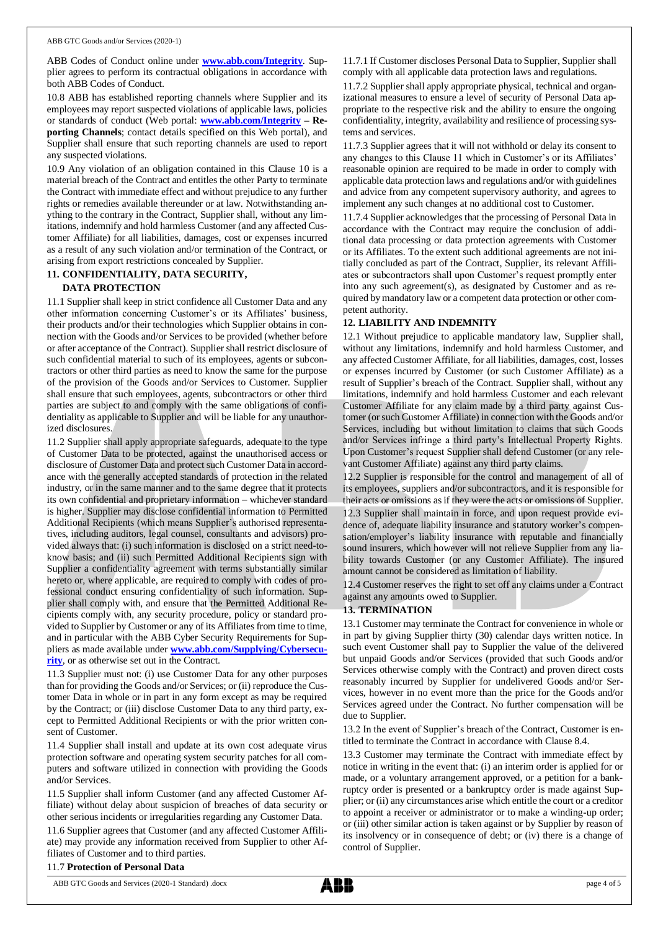ABB Codes of Conduct online under **[www.abb.com/Integrity](http://www.abb.com/Integrity)**. Supplier agrees to perform its contractual obligations in accordance with both ABB Codes of Conduct.

10.8 ABB has established reporting channels where Supplier and its employees may report suspected violations of applicable laws, policies or standards of conduct (Web portal: **[www.abb.com/Integrity](http://www.abb.com/Integrity) – Reporting Channels**; contact details specified on this Web portal), and Supplier shall ensure that such reporting channels are used to report any suspected violations.

10.9 Any violation of an obligation contained in this Clause 10 is a material breach of the Contract and entitles the other Party to terminate the Contract with immediate effect and without prejudice to any further rights or remedies available thereunder or at law. Notwithstanding anything to the contrary in the Contract, Supplier shall, without any limitations, indemnify and hold harmless Customer (and any affected Customer Affiliate) for all liabilities, damages, cost or expenses incurred as a result of any such violation and/or termination of the Contract, or arising from export restrictions concealed by Supplier.

### **11. CONFIDENTIALITY, DATA SECURITY,**

# **DATA PROTECTION**

11.1 Supplier shall keep in strict confidence all Customer Data and any other information concerning Customer's or its Affiliates' business, their products and/or their technologies which Supplier obtains in connection with the Goods and/or Services to be provided (whether before or after acceptance of the Contract). Supplier shall restrict disclosure of such confidential material to such of its employees, agents or subcontractors or other third parties as need to know the same for the purpose of the provision of the Goods and/or Services to Customer. Supplier shall ensure that such employees, agents, subcontractors or other third parties are subject to and comply with the same obligations of confidentiality as applicable to Supplier and will be liable for any unauthorized disclosures.

11.2 Supplier shall apply appropriate safeguards, adequate to the type of Customer Data to be protected, against the unauthorised access or disclosure of Customer Data and protect such Customer Data in accordance with the generally accepted standards of protection in the related industry, or in the same manner and to the same degree that it protects its own confidential and proprietary information – whichever standard is higher. Supplier may disclose confidential information to Permitted Additional Recipients (which means Supplier's authorised representatives, including auditors, legal counsel, consultants and advisors) provided always that: (i) such information is disclosed on a strict need-toknow basis; and (ii) such Permitted Additional Recipients sign with Supplier a confidentiality agreement with terms substantially similar hereto or, where applicable, are required to comply with codes of professional conduct ensuring confidentiality of such information. Supplier shall comply with, and ensure that the Permitted Additional Recipients comply with, any security procedure, policy or standard provided to Supplier by Customer or any of its Affiliates from time to time, and in particular with the ABB Cyber Security Requirements for Suppliers as made available under **[www.abb.com/Supplying/Cybersecu](http://www.abb.com/Supplying/Cybersecurity)[rity](http://www.abb.com/Supplying/Cybersecurity)**, or as otherwise set out in the Contract.

11.3 Supplier must not: (i) use Customer Data for any other purposes than for providing the Goods and/or Services; or (ii) reproduce the Customer Data in whole or in part in any form except as may be required by the Contract; or (iii) disclose Customer Data to any third party, except to Permitted Additional Recipients or with the prior written consent of Customer.

11.4 Supplier shall install and update at its own cost adequate virus protection software and operating system security patches for all computers and software utilized in connection with providing the Goods and/or Services.

11.5 Supplier shall inform Customer (and any affected Customer Affiliate) without delay about suspicion of breaches of data security or other serious incidents or irregularities regarding any Customer Data.

11.6 Supplier agrees that Customer (and any affected Customer Affiliate) may provide any information received from Supplier to other Affiliates of Customer and to third parties.

#### 11.7.1 If Customer discloses Personal Data to Supplier, Supplier shall comply with all applicable data protection laws and regulations.

11.7.2 Supplier shall apply appropriate physical, technical and organizational measures to ensure a level of security of Personal Data appropriate to the respective risk and the ability to ensure the ongoing confidentiality, integrity, availability and resilience of processing systems and services.

11.7.3 Supplier agrees that it will not withhold or delay its consent to any changes to this Clause 11 which in Customer's or its Affiliates' reasonable opinion are required to be made in order to comply with applicable data protection laws and regulations and/or with guidelines and advice from any competent supervisory authority, and agrees to implement any such changes at no additional cost to Customer.

11.7.4 Supplier acknowledges that the processing of Personal Data in accordance with the Contract may require the conclusion of additional data processing or data protection agreements with Customer or its Affiliates. To the extent such additional agreements are not initially concluded as part of the Contract, Supplier, its relevant Affiliates or subcontractors shall upon Customer's request promptly enter into any such agreement(s), as designated by Customer and as required by mandatory law or a competent data protection or other competent authority.

#### **12. LIABILITY AND INDEMNITY**

12.1 Without prejudice to applicable mandatory law, Supplier shall, without any limitations, indemnify and hold harmless Customer, and any affected Customer Affiliate, for all liabilities, damages, cost, losses or expenses incurred by Customer (or such Customer Affiliate) as a result of Supplier's breach of the Contract. Supplier shall, without any limitations, indemnify and hold harmless Customer and each relevant Customer Affiliate for any claim made by a third party against Customer (or such Customer Affiliate) in connection with the Goods and/or Services, including but without limitation to claims that such Goods and/or Services infringe a third party's Intellectual Property Rights. Upon Customer's request Supplier shall defend Customer (or any relevant Customer Affiliate) against any third party claims.

12.2 Supplier is responsible for the control and management of all of its employees, suppliers and/or subcontractors, and it is responsible for their acts or omissions as if they were the acts or omissions of Supplier.

12.3 Supplier shall maintain in force, and upon request provide evidence of, adequate liability insurance and statutory worker's compensation/employer's liability insurance with reputable and financially sound insurers, which however will not relieve Supplier from any liability towards Customer (or any Customer Affiliate). The insured amount cannot be considered as limitation of liability.

12.4 Customer reserves the right to set off any claims under a Contract against any amounts owed to Supplier.

#### **13. TERMINATION**

13.1 Customer may terminate the Contract for convenience in whole or in part by giving Supplier thirty (30) calendar days written notice. In such event Customer shall pay to Supplier the value of the delivered but unpaid Goods and/or Services (provided that such Goods and/or Services otherwise comply with the Contract) and proven direct costs reasonably incurred by Supplier for undelivered Goods and/or Services, however in no event more than the price for the Goods and/or Services agreed under the Contract. No further compensation will be due to Supplier.

13.2 In the event of Supplier's breach of the Contract, Customer is entitled to terminate the Contract in accordance with Clause 8.4.

13.3 Customer may terminate the Contract with immediate effect by notice in writing in the event that: (i) an interim order is applied for or made, or a voluntary arrangement approved, or a petition for a bankruptcy order is presented or a bankruptcy order is made against Supplier; or (ii) any circumstances arise which entitle the court or a creditor to appoint a receiver or administrator or to make a winding-up order; or (iii) other similar action is taken against or by Supplier by reason of its insolvency or in consequence of debt; or (iv) there is a change of control of Supplier.

# 11.7 **Protection of Personal Data**

ABB GTC Goods and Services (2020-1 Standard) .docx page 4 of 5